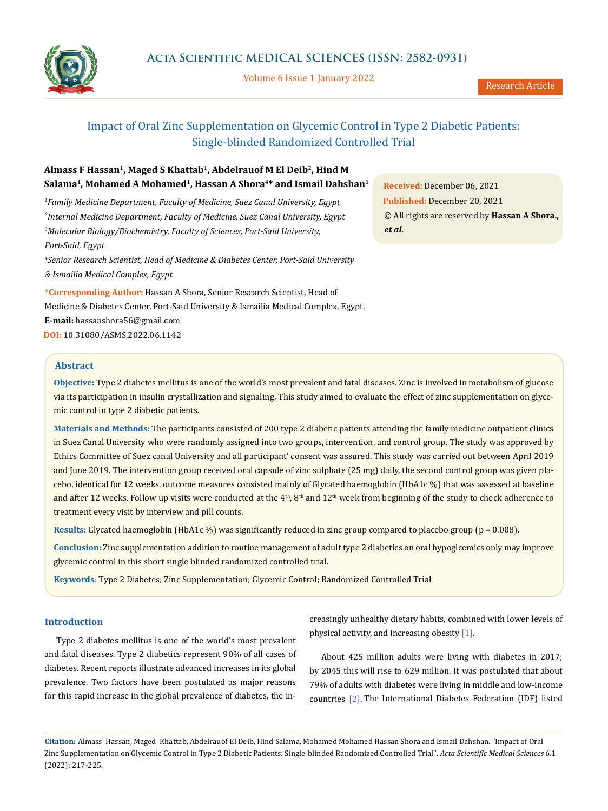

Volume 6 Issue 1 January 2022

# Impact of Oral Zinc Supplementation on Glycemic Control in Type 2 Diabetic Patients: Single-blinded Randomized Controlled Trial

# **Almass F Hassan<sup>1</sup> , Maged S Khattab<sup>1</sup> , Abdelrauof M El Deib<sup>2</sup> , Hind M Salama<sup>1</sup> , Mohamed A Mohamed<sup>1</sup> , Hassan A Shora<sup>4</sup>\* and Ismail Dahshan<sup>1</sup>**

*Family Medicine Department, Faculty of Medicine, Suez Canal University, Egypt Internal Medicine Department, Faculty of Medicine, Suez Canal University, Egypt Molecular Biology/Biochemistry, Faculty of Sciences, Port-Said University, Port-Said, Egypt*

*<sup>4</sup>Senior Research Scientist, Head of Medicine & Diabetes Center, Port-Said University & Ismailia Medical Complex, Egypt*

**\*Corresponding Author:** Hassan A Shora, Senior Research Scientist, Head of Medicine & Diabetes Center, Port-Said University & Ismailia Medical Complex, Egypt, **E-mail:** [hassanshora56@gmail.com](mailto:hassanshora56%40gmail.com?subject=) **DOI:** [10.31080/ASMS.2022.06.1142](https://actascientific.com/ASMS/pdf/ASMS-06-1142.pdf)

# **Abstract**

**Objective:** Type 2 diabetes mellitus is one of the world's most prevalent and fatal diseases. Zinc is involved in metabolism of glucose via its participation in insulin crystallization and signaling. This study aimed to evaluate the effect of zinc supplementation on glycemic control in type 2 diabetic patients.

**Materials and Methods:** The participants consisted of 200 type 2 diabetic patients attending the family medicine outpatient clinics in Suez Canal University who were randomly assigned into two groups, intervention, and control group. The study was approved by Ethics Committee of Suez canal University and all participant' consent was assured. This study was carried out between April 2019 and June 2019. The intervention group received oral capsule of zinc sulphate (25 mg) daily, the second control group was given placebo, identical for 12 weeks. outcome measures consisted mainly of Glycated haemoglobin (HbA1c %) that was assessed at baseline and after 12 weeks. Follow up visits were conducted at the  $4<sup>th</sup>$ ,  $8<sup>th</sup>$  and  $12<sup>th</sup>$  week from beginning of the study to check adherence to treatment every visit by interview and pill counts.

**Results:** Glycated haemoglobin (HbA1c %) was significantly reduced in zinc group compared to placebo group (p = 0.008).

**Conclusion:** Zinc supplementation addition to routine management of adult type 2 diabetics on oral hypoglcemics only may improve glycemic control in this short single blinded randomized controlled trial.

**Keywords**: Type 2 Diabetes; Zinc Supplementation; Glycemic Control; Randomized Controlled Trial

# **Introduction**

Type 2 diabetes mellitus is one of the world's most prevalent and fatal diseases. Type 2 diabetics represent 90% of all cases of diabetes. Recent reports illustrate advanced increases in its global prevalence. Two factors have been postulated as major reasons for this rapid increase in the global prevalence of diabetes, the increasingly unhealthy dietary habits, combined with lower levels of physical activity, and increasing obesity [1].

About 425 million adults were living with diabetes in 2017; by 2045 this will rise to 629 million. It was postulated that about 79% of adults with diabetes were living in middle and low-income countries [2]. The International Diabetes Federation (IDF) listed

**Citation:** Almass Hassan, Maged Khattab, Abdelrauof El Deib, Hind Salama, Mohamed Mohamed Hassan Shora and Ismail Dahshan*.* "Impact of Oral Zinc Supplementation on Glycemic Control in Type 2 Diabetic Patients: Single-blinded Randomized Controlled Trial". *Acta Scientific Medical Sciences* 6.1 (2022): 217-225.

**Received:** December 06, 2021 **Published:** December 20, 2021 © All rights are reserved by **Hassan A Shora.,** *et al.*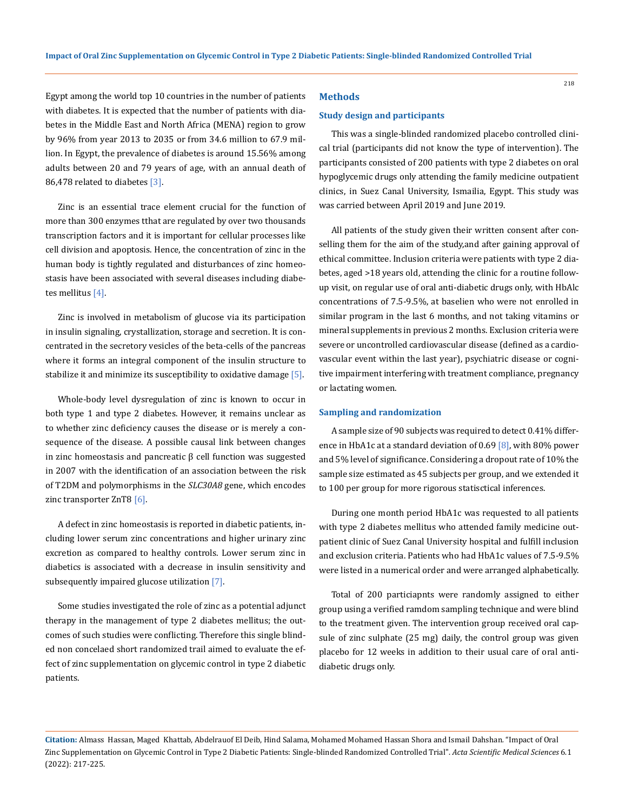Egypt among the world top 10 countries in the number of patients with diabetes. It is expected that the number of patients with diabetes in the Middle East and North Africa (MENA) region to grow by 96% from year 2013 to 2035 or from 34.6 million to 67.9 million. In Egypt, the prevalence of diabetes is around 15.56% among adults between 20 and 79 years of age, with an annual death of 86,478 related to diabetes [3].

Zinc is an essential trace element crucial for the function of more than 300 enzymes tthat are regulated by over two thousands transcription factors and it is important for cellular processes like cell division and apoptosis. Hence, the concentration of zinc in the human body is tightly regulated and disturbances of zinc homeostasis have been associated with several diseases including diabetes mellitus [4].

Zinc is involved in metabolism of glucose via its participation in insulin signaling, crystallization, storage and secretion. It is concentrated in the secretory vesicles of the beta-cells of the pancreas where it forms an integral component of the insulin structure to stabilize it and minimize its susceptibility to oxidative damage [5].

Whole-body level dysregulation of zinc is known to occur in both type 1 and type 2 diabetes. However, it remains unclear as to whether zinc deficiency causes the disease or is merely a consequence of the disease. A possible causal link between changes in zinc homeostasis and pancreatic  $β$  cell function was suggested in 2007 with the identification of an association between the risk of T2DM and polymorphisms in the *SLC30A8* gene, which encodes zinc transporter ZnT8 [6].

A defect in zinc homeostasis is reported in diabetic patients, including lower serum zinc concentrations and higher urinary zinc excretion as compared to healthy controls. Lower serum zinc in diabetics is associated with a decrease in insulin sensitivity and subsequently impaired glucose utilization [7].

Some studies investigated the role of zinc as a potential adjunct therapy in the management of type 2 diabetes mellitus; the outcomes of such studies were conflicting. Therefore this single blinded non concelaed short randomized trail aimed to evaluate the effect of zinc supplementation on glycemic control in type 2 diabetic patients.

#### **Methods**

#### **Study design and participants**

This was a single-blinded randomized placebo controlled clinical trial (participants did not know the type of intervention). The participants consisted of 200 patients with type 2 diabetes on oral hypoglycemic drugs only attending the family medicine outpatient clinics, in Suez Canal University, Ismailia, Egypt. This study was was carried between April 2019 and June 2019.

All patients of the study given their written consent after conselling them for the aim of the study,and after gaining approval of ethical committee. Inclusion criteria were patients with type 2 diabetes, aged >18 years old, attending the clinic for a routine followup visit, on regular use of oral anti-diabetic drugs only, with HbAlc concentrations of 7.5-9.5%, at baselien who were not enrolled in similar program in the last 6 months, and not taking vitamins or mineral supplements in previous 2 months. Exclusion criteria were severe or uncontrolled cardiovascular disease (defined as a cardiovascular event within the last year), psychiatric disease or cognitive impairment interfering with treatment compliance, pregnancy or lactating women.

#### **Sampling and randomization**

A sample size of 90 subjects was required to detect 0.41% difference in HbA1c at a standard deviation of 0.69  $[8]$ , with 80% power and 5% level of significance. Considering a dropout rate of 10% the sample size estimated as 45 subjects per group, and we extended it to 100 per group for more rigorous statisctical inferences.

During one month period HbA1c was requested to all patients with type 2 diabetes mellitus who attended family medicine outpatient clinic of Suez Canal University hospital and fulfill inclusion and exclusion criteria. Patients who had HbA1c values of 7.5-9.5% were listed in a numerical order and were arranged alphabetically.

Total of 200 particiapnts were randomly assigned to either group using a verified ramdom sampling technique and were blind to the treatment given. The intervention group received oral capsule of zinc sulphate (25 mg) daily, the control group was given placebo for 12 weeks in addition to their usual care of oral antidiabetic drugs only.

**Citation:** Almass Hassan, Maged Khattab, Abdelrauof El Deib, Hind Salama, Mohamed Mohamed Hassan Shora and Ismail Dahshan*.* "Impact of Oral Zinc Supplementation on Glycemic Control in Type 2 Diabetic Patients: Single-blinded Randomized Controlled Trial". *Acta Scientific Medical Sciences* 6.1 (2022): 217-225.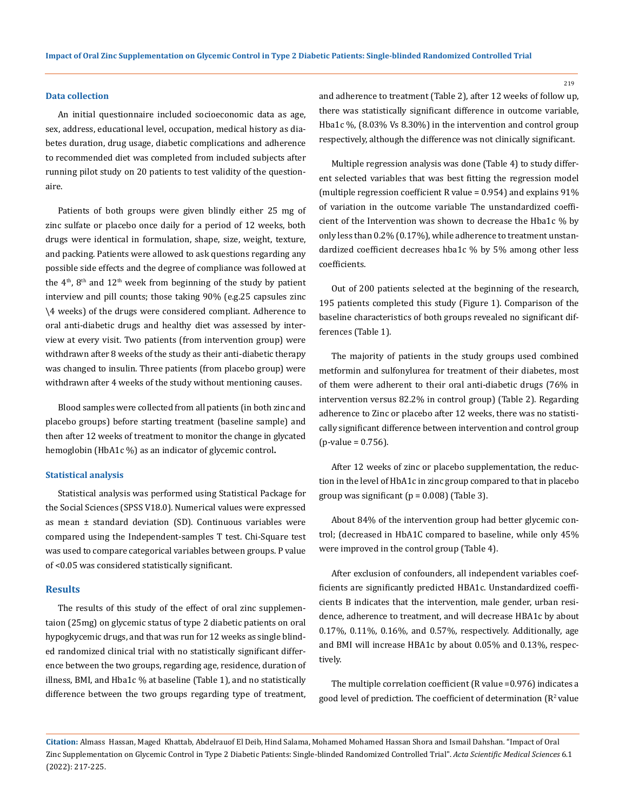### **Data collection**

An initial questionnaire included socioeconomic data as age, sex, address, educational level, occupation, medical history as diabetes duration, drug usage, diabetic complications and adherence to recommended diet was completed from included subjects after running pilot study on 20 patients to test validity of the questionaire.

Patients of both groups were given blindly either 25 mg of zinc sulfate or placebo once daily for a period of 12 weeks, both drugs were identical in formulation, shape, size, weight, texture, and packing. Patients were allowed to ask questions regarding any possible side effects and the degree of compliance was followed at the  $4<sup>th</sup>$ ,  $8<sup>th</sup>$  and  $12<sup>th</sup>$  week from beginning of the study by patient interview and pill counts; those taking 90% (e.g.25 capsules zinc \4 weeks) of the drugs were considered compliant. Adherence to oral anti-diabetic drugs and healthy diet was assessed by interview at every visit. Two patients (from intervention group) were withdrawn after 8 weeks of the study as their anti-diabetic therapy was changed to insulin. Three patients (from placebo group) were withdrawn after 4 weeks of the study without mentioning causes.

Blood samples were collected from all patients (in both zinc and placebo groups) before starting treatment (baseline sample) and then after 12 weeks of treatment to monitor the change in glycated hemoglobin (HbA1c %) as an indicator of glycemic control**.**

#### **Statistical analysis**

Statistical analysis was performed using Statistical Package for the Social Sciences (SPSS V18.0). Numerical values were expressed as mean ± standard deviation (SD). Continuous variables were compared using the Independent-samples T test. Chi-Square test was used to compare categorical variables between groups. P value of <0.05 was considered statistically significant.

### **Results**

The results of this study of the effect of oral zinc supplementaion (25mg) on glycemic status of type 2 diabetic patients on oral hypogkycemic drugs, and that was run for 12 weeks as single blinded randomized clinical trial with no statistically significant difference between the two groups, regarding age, residence, duration of illness, BMI, and Hba1c % at baseline (Table 1), and no statistically difference between the two groups regarding type of treatment, and adherence to treatment (Table 2), after 12 weeks of follow up, there was statistically significant difference in outcome variable, Hba1c %, (8.03% Vs 8.30%) in the intervention and control group respectively, although the difference was not clinically significant.

Multiple regression analysis was done (Table 4) to study different selected variables that was best fitting the regression model (multiple regression coefficient R value = 0.954) and explains 91% of variation in the outcome variable The unstandardized coefficient of the Intervention was shown to decrease the Hba1c % by only less than 0.2% (0.17%), while adherence to treatment unstandardized coefficient decreases hba1c % by 5% among other less coefficients.

Out of 200 patients selected at the beginning of the research, 195 patients completed this study (Figure 1). Comparison of the baseline characteristics of both groups revealed no significant differences (Table 1).

The majority of patients in the study groups used combined metformin and sulfonylurea for treatment of their diabetes, most of them were adherent to their oral anti-diabetic drugs (76% in intervention versus 82.2% in control group) (Table 2). Regarding adherence to Zinc or placebo after 12 weeks, there was no statistically significant difference between intervention and control group  $(p-value = 0.756)$ .

After 12 weeks of zinc or placebo supplementation, the reduction in the level of HbA1c in zinc group compared to that in placebo group was significant ( $p = 0.008$ ) (Table 3).

About 84% of the intervention group had better glycemic control; (decreased in HbA1C compared to baseline, while only 45% were improved in the control group (Table 4).

After exclusion of confounders, all independent variables coefficients are significantly predicted HBA1c. Unstandardized coefficients B indicates that the intervention, male gender, urban residence, adherence to treatment, and will decrease HBA1c by about 0.17%, 0.11%, 0.16%, and 0.57%, respectively. Additionally, age and BMI will increase HBA1c by about 0.05% and 0.13%, respectively.

The multiple correlation coefficient (R value =0.976) indicates a good level of prediction. The coefficient of determination  $(R^2 \text{ value})$ 

**Citation:** Almass Hassan, Maged Khattab, Abdelrauof El Deib, Hind Salama, Mohamed Mohamed Hassan Shora and Ismail Dahshan*.* "Impact of Oral Zinc Supplementation on Glycemic Control in Type 2 Diabetic Patients: Single-blinded Randomized Controlled Trial". *Acta Scientific Medical Sciences* 6.1 (2022): 217-225.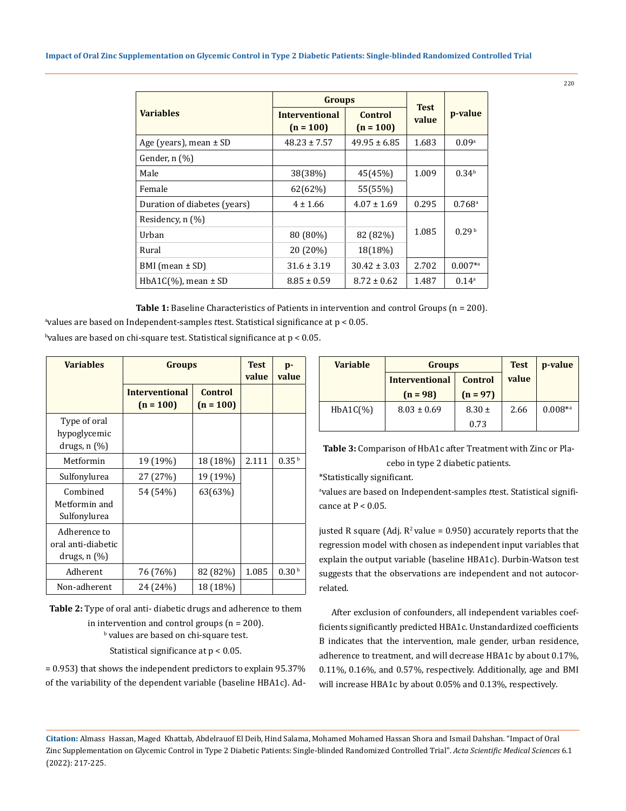|                              | <b>Groups</b>                        |                        |                      |                      |
|------------------------------|--------------------------------------|------------------------|----------------------|----------------------|
| <b>Variables</b>             | <b>Interventional</b><br>$(n = 100)$ | Control<br>$(n = 100)$ | <b>Test</b><br>value | p-value              |
| Age (years), mean $\pm$ SD   | $48.23 \pm 7.57$                     | $49.95 \pm 6.85$       | 1.683                | 0.09 <sup>a</sup>    |
| Gender, n (%)                |                                      |                        |                      |                      |
| Male                         | 38(38%)                              | 45(45%)                | 1.009                | 0.34 <sup>b</sup>    |
| Female                       | 62(62%)                              | 55(55%)                |                      |                      |
| Duration of diabetes (years) | $4 \pm 1.66$                         | $4.07 \pm 1.69$        | 0.295                | $0.768$ <sup>a</sup> |
| Residency, $n$ $(\%)$        |                                      |                        |                      |                      |
| Urban                        | 80 (80%)                             | 82 (82%)               | 1.085                | 0.29 <sup>b</sup>    |
| Rural                        | 20 (20%)                             | 18(18%)                |                      |                      |
| BMI (mean $\pm$ SD)          | $31.6 \pm 3.19$                      | $30.42 \pm 3.03$       | 2.702                | $0.007^{*a}$         |
| $HbA1C$ (%), mean $\pm$ SD   | $8.85 \pm 0.59$                      | $8.72 \pm 0.62$        | 1.487                | 0.14 <sup>a</sup>    |

Table 1: Baseline Characteristics of Patients in intervention and control Groups (n = 200).

a values are based on Independent-samples *t*test. Statistical significance at p < 0.05.

 $^{\rm b}$ values are based on chi-square test. Statistical significance at p  $< 0.05.$ 

| <b>Variables</b>                                        | <b>Groups</b>                        | <b>Test</b><br>value          | p-<br>value |                   |
|---------------------------------------------------------|--------------------------------------|-------------------------------|-------------|-------------------|
|                                                         | <b>Interventional</b><br>$(n = 100)$ | <b>Control</b><br>$(n = 100)$ |             |                   |
| Type of oral<br>hypoglycemic<br>drugs, $n$ $(\%)$       |                                      |                               |             |                   |
| Metformin                                               | 19 (19%)                             | 18 (18%)                      | 2.111       | 0.35 <sup>b</sup> |
| Sulfonylurea                                            | 27 (27%)                             | 19 (19%)                      |             |                   |
| Combined<br>Metformin and<br>Sulfonylurea               | 54 (54%)                             | 63(63%)                       |             |                   |
| Adherence to<br>oral anti-diabetic<br>drugs, $n$ $(\%)$ |                                      |                               |             |                   |
| Adherent                                                | 76 (76%)                             | 82 (82%)                      | 1.085       | 0.30 <sup>b</sup> |
| Non-adherent                                            | 24 (24%)                             | 18 (18%)                      |             |                   |

**Table 2:** Type of oral anti- diabetic drugs and adherence to them in intervention and control groups (n = 200). b values are based on chi-square test.

Statistical significance at p < 0.05.

= 0.953) that shows the independent predictors to explain 95.37% of the variability of the dependent variable (baseline HBA1c). Ad-

| <b>Variable</b> | <b>Groups</b>         | <b>Test</b>    | p-value |              |
|-----------------|-----------------------|----------------|---------|--------------|
|                 | <b>Interventional</b> | <b>Control</b> | value   |              |
|                 | $(n = 98)$            | $(n = 97)$     |         |              |
| $HbA1C(\%)$     | $8.03 \pm 0.69$       | $8.30 \pm$     | 2.66    | $0.008^{*a}$ |
|                 |                       | 0.73           |         |              |

**Table 3:** Comparison of HbA1c after Treatment with Zinc or Placebo in type 2 diabetic patients.

\*Statistically significant.

a values are based on Independent-samples *t*test. Statistical significance at  $P < 0.05$ .

justed R square (Adj.  $R^2$  value = 0.950) accurately reports that the regression model with chosen as independent input variables that explain the output variable (baseline HBA1c). Durbin-Watson test suggests that the observations are independent and not autocorrelated.

After exclusion of confounders, all independent variables coefficients significantly predicted HBA1c. Unstandardized coefficients B indicates that the intervention, male gender, urban residence, adherence to treatment, and will decrease HBA1c by about 0.17%, 0.11%, 0.16%, and 0.57%, respectively. Additionally, age and BMI will increase HBA1c by about 0.05% and 0.13%, respectively.

**Citation:** Almass Hassan, Maged Khattab, Abdelrauof El Deib, Hind Salama, Mohamed Mohamed Hassan Shora and Ismail Dahshan*.* "Impact of Oral Zinc Supplementation on Glycemic Control in Type 2 Diabetic Patients: Single-blinded Randomized Controlled Trial". *Acta Scientific Medical Sciences* 6.1 (2022): 217-225.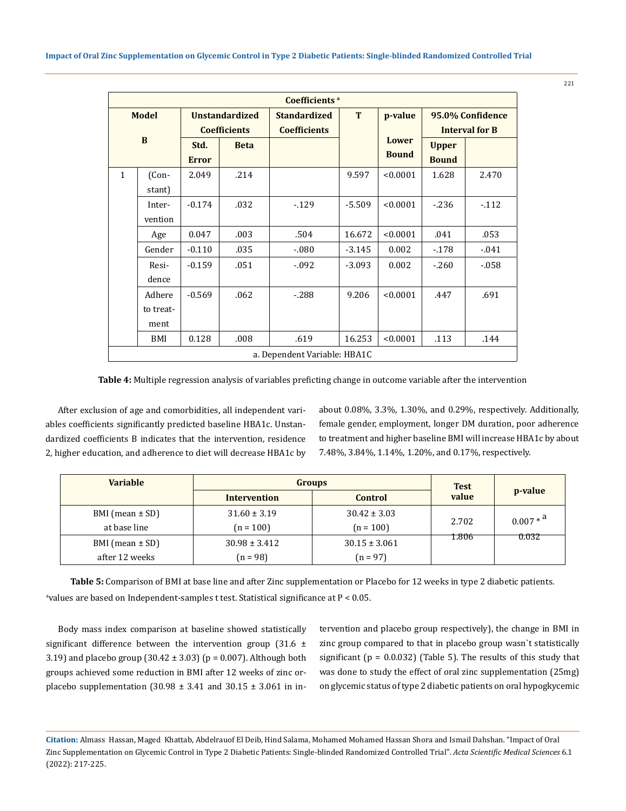| Coefficients <sup>a</sup>    |                             |                                              |             |                                            |          |                              |                                           |          |
|------------------------------|-----------------------------|----------------------------------------------|-------------|--------------------------------------------|----------|------------------------------|-------------------------------------------|----------|
| <b>Model</b><br>B            |                             | <b>Unstandardized</b><br><b>Coefficients</b> |             | <b>Standardized</b><br><b>Coefficients</b> | T        | p-value                      | 95.0% Confidence<br><b>Interval for B</b> |          |
|                              |                             | Std.<br><b>Error</b>                         | <b>Beta</b> |                                            |          | <b>Lower</b><br><b>Bound</b> | <b>Upper</b><br><b>Bound</b>              |          |
| $\mathbf{1}$                 | (Con-<br>stant)             | 2.049                                        | .214        |                                            | 9.597    | < 0.0001                     | 1.628                                     | 2.470    |
|                              | Inter-<br>vention           | $-0.174$                                     | .032        | $-129$                                     | $-5.509$ | < 0.0001                     | $-236$                                    | $-112$   |
|                              | Age                         | 0.047                                        | .003        | .504                                       | 16.672   | < 0.0001                     | .041                                      | .053     |
|                              | Gender                      | $-0.110$                                     | .035        | $-.080$                                    | $-3.145$ | 0.002                        | $-178$                                    | $-0.041$ |
|                              | Resi-<br>dence              | $-0.159$                                     | .051        | $-0.092$                                   | $-3.093$ | 0.002                        | $-.260$                                   | $-058$   |
|                              | Adhere<br>to treat-<br>ment | $-0.569$                                     | .062        | $-288$                                     | 9.206    | < 0.0001                     | .447                                      | .691     |
|                              | BMI                         | 0.128                                        | .008        | .619                                       | 16.253   | < 0.0001                     | .113                                      | .144     |
| a. Dependent Variable: HBA1C |                             |                                              |             |                                            |          |                              |                                           |          |

**Table 4:** Multiple regression analysis of variables preficting change in outcome variable after the intervention

After exclusion of age and comorbidities, all independent variables coefficients significantly predicted baseline HBA1c. Unstandardized coefficients B indicates that the intervention, residence 2, higher education, and adherence to diet will decrease HBA1c by about 0.08%, 3.3%, 1.30%, and 0.29%, respectively. Additionally, female gender, employment, longer DM duration, poor adherence to treatment and higher baseline BMI will increase HBA1c by about 7.48%, 3.84%, 1.14%, 1.20%, and 0.17%, respectively.

| <b>Variable</b>     | <b>Groups</b>                  | <b>Test</b><br>value | p-value        |             |
|---------------------|--------------------------------|----------------------|----------------|-------------|
|                     | <b>Control</b><br>Intervention |                      |                |             |
| BMI (mean $\pm$ SD) | $31.60 \pm 3.19$               | $30.42 \pm 3.03$     |                | $0.007 * a$ |
| at base line        | $(n = 100)$                    | $(n = 100)$          | 2.702<br>1.806 | 0.032       |
| BMI (mean $\pm$ SD) | $30.98 \pm 3.412$              | $30.15 \pm 3.061$    |                |             |
| after 12 weeks      | $(n = 98)$                     | $(n = 97)$           |                |             |

**Table 5:** Comparison of BMI at base line and after Zinc supplementation or Placebo for 12 weeks in type 2 diabetic patients.  $^{\rm a}$ values are based on Independent-samples t test. Statistical significance at P  $<$  0.05.

Body mass index comparison at baseline showed statistically significant difference between the intervention group  $(31.6 \pm$ 3.19) and placebo group  $(30.42 \pm 3.03)$  (p = 0.007). Although both groups achieved some reduction in BMI after 12 weeks of zinc orplacebo supplementation (30.98  $\pm$  3.41 and 30.15  $\pm$  3.061 in intervention and placebo group respectively), the change in BMI in zinc group compared to that in placebo group wasn`t statistically significant ( $p = 0.0.032$ ) (Table 5). The results of this study that was done to study the effect of oral zinc supplementation (25mg) on glycemic status of type 2 diabetic patients on oral hypogkycemic

**Citation:** Almass Hassan, Maged Khattab, Abdelrauof El Deib, Hind Salama, Mohamed Mohamed Hassan Shora and Ismail Dahshan*.* "Impact of Oral Zinc Supplementation on Glycemic Control in Type 2 Diabetic Patients: Single-blinded Randomized Controlled Trial". *Acta Scientific Medical Sciences* 6.1 (2022): 217-225.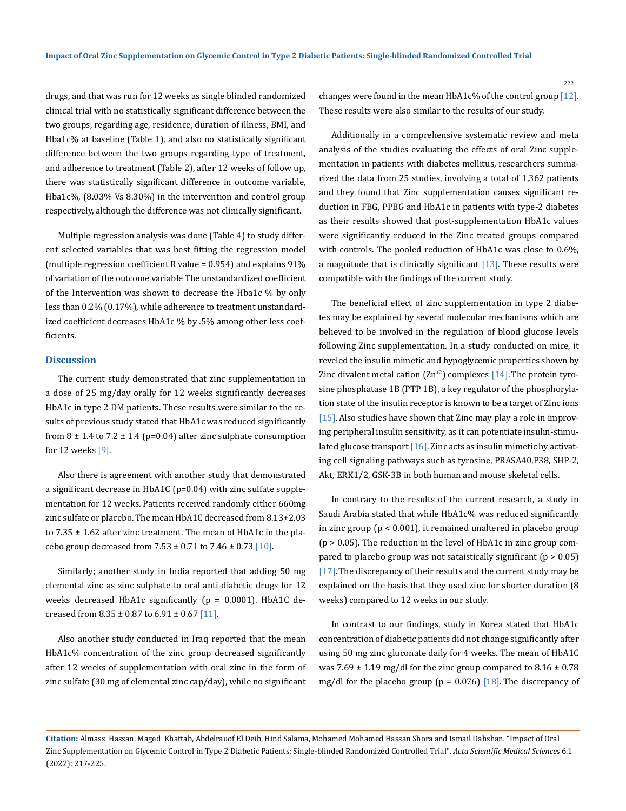drugs, and that was run for 12 weeks as single blinded randomized clinical trial with no statistically significant difference between the two groups, regarding age, residence, duration of illness, BMI, and Hba1c% at baseline (Table 1), and also no statistically significant difference between the two groups regarding type of treatment, and adherence to treatment (Table 2), after 12 weeks of follow up, there was statistically significant difference in outcome variable, Hba1c%, (8.03% Vs 8.30%) in the intervention and control group respectively, although the difference was not clinically significant.

Multiple regression analysis was done (Table 4) to study different selected variables that was best fitting the regression model (multiple regression coefficient R value = 0.954) and explains 91% of variation of the outcome variable The unstandardized coefficient of the Intervention was shown to decrease the Hba1c % by only less than 0.2% (0.17%), while adherence to treatment unstandardized coefficient decreases HbA1c % by .5% among other less coefficients.

# **Discussion**

The current study demonstrated that zinc supplementation in a dose of 25 mg/day orally for 12 weeks significantly decreases HbA1c in type 2 DM patients. These results were similar to the results of previous study stated that HbA1c was reduced significantly from  $8 \pm 1.4$  to  $7.2 \pm 1.4$  (p=0.04) after zinc sulphate consumption for 12 weeks [9].

Also there is agreement with another study that demonstrated a significant decrease in HbA1C (p=0.04) with zinc sulfate supplementation for 12 weeks. Patients received randomly either 660mg zinc sulfate or placebo. The mean HbA1C decreased from 8.13+2.03 to 7.35 ± 1.62 after zinc treatment. The mean of HbA1c in the placebo group decreased from  $7.53 \pm 0.71$  to  $7.46 \pm 0.73$  [10].

Similarly; another study in India reported that adding 50 mg elemental zinc as zinc sulphate to oral anti-diabetic drugs for 12 weeks decreased HbA1c significantly  $(p = 0.0001)$ . HbA1C decreased from  $8.35 \pm 0.87$  to  $6.91 \pm 0.67$  [11].

Also another study conducted in Iraq reported that the mean HbA1c% concentration of the zinc group decreased significantly after 12 weeks of supplementation with oral zinc in the form of zinc sulfate (30 mg of elemental zinc cap/day), while no significant

changes were found in the mean HbA1c% of the control group  $[12]$ . These results were also similar to the results of our study.

Additionally in a comprehensive systematic review and meta analysis of the studies evaluating the effects of oral Zinc supplementation in patients with diabetes mellitus, researchers summarized the data from 25 studies, involving a total of 1,362 patients and they found that Zinc supplementation causes significant reduction in FBG, PPBG and HbA1c in patients with type-2 diabetes as their results showed that post-supplementation HbA1c values were significantly reduced in the Zinc treated groups compared with controls. The pooled reduction of HbA1c was close to 0.6%, a magnitude that is clinically significant  $[13]$ . These results were compatible with the findings of the current study.

The beneficial effect of zinc supplementation in type 2 diabetes may be explained by several molecular mechanisms which are believed to be involved in the regulation of blood glucose levels following Zinc supplementation. In a study conducted on mice, it reveled the insulin mimetic and hypoglycemic properties shown by Zinc divalent metal cation  $(Zn^{2})$  complexes  $[14]$ . The protein tyrosine phosphatase 1B (PTP 1B), a key regulator of the phosphorylation state of the insulin receptor is known to be a target of Zinc ions [15]. Also studies have shown that Zinc may play a role in improving peripheral insulin sensitivity, as it can potentiate insulin-stimulated glucose transport  $[16]$ . Zinc acts as insulin mimetic by activating cell signaling pathways such as tyrosine, PRASA40,P38, SHP-2, Akt, ERK1/2, GSK-3B in both human and mouse skeletal cells.

In contrary to the results of the current research, a study in Saudi Arabia stated that while HbA1c% was reduced significantly in zinc group (p < 0.001), it remained unaltered in placebo group  $(p > 0.05)$ . The reduction in the level of HbA1c in zinc group compared to placebo group was not sataistically significant  $(p > 0.05)$ [17]. The discrepancy of their results and the current study may be explained on the basis that they used zinc for shorter duration (8 weeks) compared to 12 weeks in our study.

In contrast to our findings, study in Korea stated that HbA1c concentration of diabetic patients did not change significantly after using 50 mg zinc gluconate daily for 4 weeks. The mean of HbA1C was 7.69  $\pm$  1.19 mg/dl for the zinc group compared to 8.16  $\pm$  0.78 mg/dl for the placebo group ( $p = 0.076$ ) [18]. The discrepancy of

**Citation:** Almass Hassan, Maged Khattab, Abdelrauof El Deib, Hind Salama, Mohamed Mohamed Hassan Shora and Ismail Dahshan*.* "Impact of Oral Zinc Supplementation on Glycemic Control in Type 2 Diabetic Patients: Single-blinded Randomized Controlled Trial". *Acta Scientific Medical Sciences* 6.1 (2022): 217-225.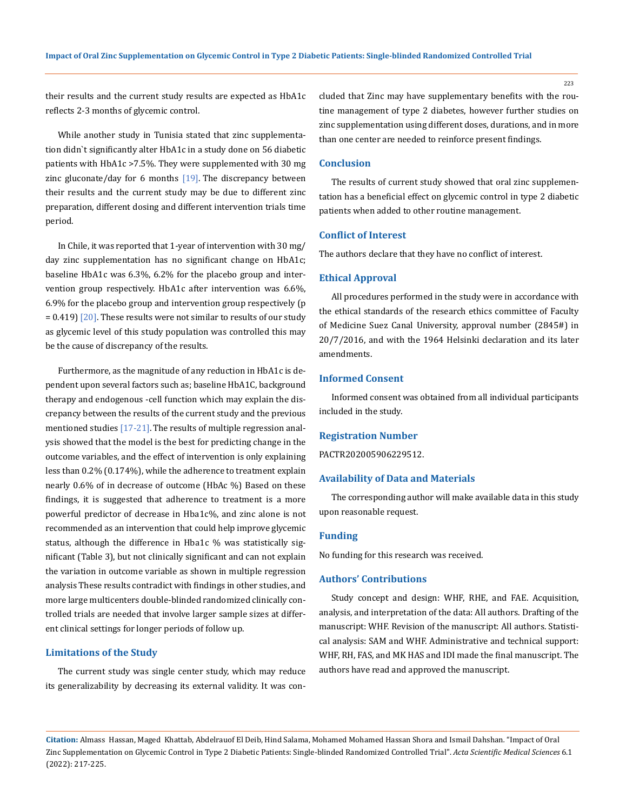223

their results and the current study results are expected as HbA1c reflects 2-3 months of glycemic control.

While another study in Tunisia stated that zinc supplementation didn`t significantly alter HbA1c in a study done on 56 diabetic patients with HbA1c >7.5%. They were supplemented with 30 mg zinc gluconate/day for 6 months  $[19]$ . The discrepancy between their results and the current study may be due to different zinc preparation, different dosing and different intervention trials time period.

In Chile, it was reported that 1-year of intervention with 30 mg/ day zinc supplementation has no significant change on HbA1c; baseline HbA1c was 6.3%, 6.2% for the placebo group and intervention group respectively. HbA1c after intervention was 6.6%, 6.9% for the placebo group and intervention group respectively (p  $= 0.419$  [20]. These results were not similar to results of our study as glycemic level of this study population was controlled this may be the cause of discrepancy of the results.

Furthermore, as the magnitude of any reduction in HbA1c is dependent upon several factors such as; baseline HbA1C, background therapy and endogenous -cell function which may explain the discrepancy between the results of the current study and the previous mentioned studies  $[17-21]$ . The results of multiple regression analysis showed that the model is the best for predicting change in the outcome variables, and the effect of intervention is only explaining less than 0.2% (0.174%), while the adherence to treatment explain nearly 0.6% of in decrease of outcome (HbAc %) Based on these findings, it is suggested that adherence to treatment is a more powerful predictor of decrease in Hba1c%, and zinc alone is not recommended as an intervention that could help improve glycemic status, although the difference in Hba1c % was statistically significant (Table 3), but not clinically significant and can not explain the variation in outcome variable as shown in multiple regression analysis These results contradict with findings in other studies, and more large multicenters double-blinded randomized clinically controlled trials are needed that involve larger sample sizes at different clinical settings for longer periods of follow up.

## **Limitations of the Study**

The current study was single center study, which may reduce its generalizability by decreasing its external validity. It was concluded that Zinc may have supplementary benefits with the routine management of type 2 diabetes, however further studies on zinc supplementation using different doses, durations, and in more than one center are needed to reinforce present findings.

# **Conclusion**

The results of current study showed that oral zinc supplementation has a beneficial effect on glycemic control in type 2 diabetic patients when added to other routine management.

# **Conflict of Interest**

The authors declare that they have no conflict of interest.

### **Ethical Approval**

All procedures performed in the study were in accordance with the ethical standards of the research ethics committee of Faculty of Medicine Suez Canal University, approval number (2845#) in 20/7/2016, and with the 1964 Helsinki declaration and its later amendments.

# **Informed Consent**

Informed consent was obtained from all individual participants included in the study.

### **Registration Number**

PACTR202005906229512.

### **Availability of Data and Materials**

The corresponding author will make available data in this study upon reasonable request.

### **Funding**

No funding for this research was received.

# **Authors' Contributions**

Study concept and design: WHF, RHE, and FAE. Acquisition, analysis, and interpretation of the data: All authors. Drafting of the manuscript: WHF. Revision of the manuscript: All authors. Statistical analysis: SAM and WHF. Administrative and technical support: WHF, RH, FAS, and MK HAS and IDI made the final manuscript. The authors have read and approved the manuscript.

**Citation:** Almass Hassan, Maged Khattab, Abdelrauof El Deib, Hind Salama, Mohamed Mohamed Hassan Shora and Ismail Dahshan*.* "Impact of Oral Zinc Supplementation on Glycemic Control in Type 2 Diabetic Patients: Single-blinded Randomized Controlled Trial". *Acta Scientific Medical Sciences* 6.1 (2022): 217-225.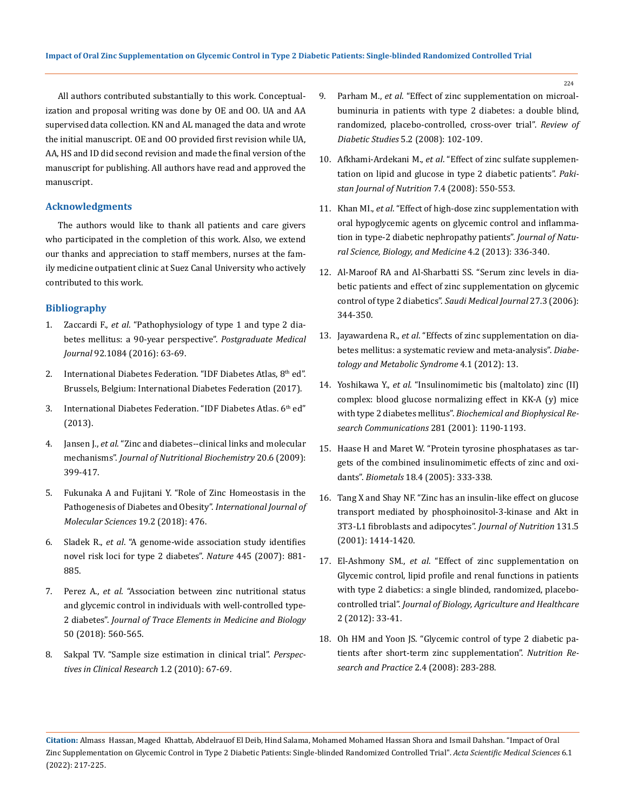All authors contributed substantially to this work. Conceptualization and proposal writing was done by OE and OO. UA and AA supervised data collection. KN and AL managed the data and wrote the initial manuscript. OE and OO provided first revision while UA, AA, HS and ID did second revision and made the final version of the manuscript for publishing. All authors have read and approved the manuscript.

# **Acknowledgments**

The authors would like to thank all patients and care givers who participated in the completion of this work. Also, we extend our thanks and appreciation to staff members, nurses at the family medicine outpatient clinic at Suez Canal University who actively contributed to this work.

# **Bibliography**

- 1. Zaccardi F., *et al*[. "Pathophysiology of type 1 and type 2 dia](https://pubmed.ncbi.nlm.nih.gov/26621825/)[betes mellitus: a 90-year perspective".](https://pubmed.ncbi.nlm.nih.gov/26621825/) *Postgraduate Medical Journal* [92.1084 \(2016\): 63-69.](https://pubmed.ncbi.nlm.nih.gov/26621825/)
- 2. International Diabetes Federation. "IDF Diabetes Atlas, 8th ed". [Brussels, Belgium: International Diabetes Federation \(2017\).](https://www.diabetesatlas.org/upload/resources/previous/files/8/IDF_DA_8e-EN-final.pdf)
- 3. [International Diabetes Federation. "IDF Diabetes Atlas. 6](https://www.idf.org/sites/default/files/fen6E%20Atlas%20Full%200.pdf)th ed" [\(2013\).](https://www.idf.org/sites/default/files/fen6E%20Atlas%20Full%200.pdf)
- 4. Jansen J., *et al*[. "Zinc and diabetes--clinical links and molecular](https://pubmed.ncbi.nlm.nih.gov/19442898/)  mechanisms". *[Journal of Nutritional Biochemistry](https://pubmed.ncbi.nlm.nih.gov/19442898/)* 20.6 (2009): [399-417.](https://pubmed.ncbi.nlm.nih.gov/19442898/)
- 5. [Fukunaka A and Fujitani Y. "Role of Zinc Homeostasis in the](https://www.mdpi.com/1422-0067/19/2/476)  [Pathogenesis of Diabetes and Obesity".](https://www.mdpi.com/1422-0067/19/2/476) *International Journal of [Molecular Sciences](https://www.mdpi.com/1422-0067/19/2/476)* 19.2 (2018): 476.
- 6. Sladek R., *et al*[. "A genome-wide association study identifies](https://www.nature.com/articles/nature05616)  [novel risk loci for type 2 diabetes".](https://www.nature.com/articles/nature05616) *Nature* 445 (2007): 881- [885.](https://www.nature.com/articles/nature05616)
- 7. Perez A., *et al*[. "Association between zinc nutritional status](https://pubmed.ncbi.nlm.nih.gov/29631853/)  [and glycemic control in individuals with well-controlled type-](https://pubmed.ncbi.nlm.nih.gov/29631853/)2 diabetes". *[Journal of Trace Elements in Medicine and Biology](https://pubmed.ncbi.nlm.nih.gov/29631853/)*  [50 \(2018\): 560-565.](https://pubmed.ncbi.nlm.nih.gov/29631853/)
- 8. [Sakpal TV. "Sample size estimation in clinical trial".](https://www.ncbi.nlm.nih.gov/pmc/articles/PMC3148614/) *Perspec[tives in Clinical Research](https://www.ncbi.nlm.nih.gov/pmc/articles/PMC3148614/)* 1.2 (2010): 67-69.
- 9. Parham M., *et al*[. "Effect of zinc supplementation on microal](https://pubmed.ncbi.nlm.nih.gov/18795212/)[buminuria in patients with type 2 diabetes: a double blind,](https://pubmed.ncbi.nlm.nih.gov/18795212/)  [randomized, placebo-controlled, cross-over trial".](https://pubmed.ncbi.nlm.nih.gov/18795212/) *Review of Diabetic Studies* [5.2 \(2008\): 102-109.](https://pubmed.ncbi.nlm.nih.gov/18795212/)
- 10. Afkhami-Ardekani M., *et al*[. "Effect of zinc sulfate supplemen](https://scialert.net/abstract/?doi=pjn.2008.550.553)[tation on lipid and glucose in type 2 diabetic patients".](https://scialert.net/abstract/?doi=pjn.2008.550.553) *Paki[stan Journal of Nutrition](https://scialert.net/abstract/?doi=pjn.2008.550.553)* 7.4 (2008): 550-553.
- 11. Khan MI., *et al*[. "Effect of high-dose zinc supplementation with](https://pubmed.ncbi.nlm.nih.gov/24082728/)  [oral hypoglycemic agents on glycemic control and inflamma](https://pubmed.ncbi.nlm.nih.gov/24082728/)[tion in type-2 diabetic nephropathy patients".](https://pubmed.ncbi.nlm.nih.gov/24082728/) *Journal of Natu[ral Science, Biology, and Medicine](https://pubmed.ncbi.nlm.nih.gov/24082728/)* 4.2 (2013): 336-340.
- 12. [Al-Maroof RA and Al-Sharbatti SS. "Serum zinc levels in dia](https://pubmed.ncbi.nlm.nih.gov/16532095/)[betic patients and effect of zinc supplementation on glycemic](https://pubmed.ncbi.nlm.nih.gov/16532095/)  [control of type 2 diabetics".](https://pubmed.ncbi.nlm.nih.gov/16532095/) *Saudi Medical Journal* 27.3 (2006): [344-350.](https://pubmed.ncbi.nlm.nih.gov/16532095/)
- 13. Jayawardena R., *et al*[. "Effects of zinc supplementation on dia](https://pubmed.ncbi.nlm.nih.gov/22515411/)[betes mellitus: a systematic review and meta-analysis".](https://pubmed.ncbi.nlm.nih.gov/22515411/) *Diabe[tology and Metabolic Syndrome](https://pubmed.ncbi.nlm.nih.gov/22515411/)* 4.1 (2012): 13.
- 14. Yoshikawa Y., *et al*[. "Insulinomimetic bis \(maltolato\) zinc \(II\)](https://pubmed.ncbi.nlm.nih.gov/11243860/)  [complex: blood glucose normalizing effect in KK-A \(y\) mice](https://pubmed.ncbi.nlm.nih.gov/11243860/)  with type 2 diabetes mellitus". *[Biochemical and Biophysical Re](https://pubmed.ncbi.nlm.nih.gov/11243860/)[search Communications](https://pubmed.ncbi.nlm.nih.gov/11243860/)* 281 (2001): 1190-1193.
- 15. [Haase H and Maret W. "Protein tyrosine phosphatases as tar](https://link.springer.com/article/10.1007/s10534-005-3707-9)[gets of the combined insulinomimetic effects of zinc and oxi](https://link.springer.com/article/10.1007/s10534-005-3707-9)dants". *Biometals* [18.4 \(2005\): 333-338.](https://link.springer.com/article/10.1007/s10534-005-3707-9)
- 16. [Tang X and Shay NF. "Zinc has an insulin-like effect on glucose](https://academic.oup.com/jn/article/131/5/1414/4686946)  [transport mediated by phosphoinositol-3-kinase and Akt in](https://academic.oup.com/jn/article/131/5/1414/4686946)  [3T3-L1 fibroblasts and adipocytes".](https://academic.oup.com/jn/article/131/5/1414/4686946) *Journal of Nutrition* 131.5 [\(2001\): 1414-1420.](https://academic.oup.com/jn/article/131/5/1414/4686946)
- 17. El-Ashmony SM., *et al*. "Effect of zinc supplementation on Glycemic control, lipid profile and renal functions in patients with type 2 diabetics: a single blinded, randomized, placebocontrolled trial". *Journal of Biology, Agriculture and Healthcare*  2 (2012): 33-41.
- 18. [Oh HM and Yoon JS. "Glycemic control of type 2 diabetic pa](https://www.ncbi.nlm.nih.gov/pmc/articles/PMC2788197/)[tients after short-term zinc supplementation".](https://www.ncbi.nlm.nih.gov/pmc/articles/PMC2788197/) *Nutrition Re[search and Practice](https://www.ncbi.nlm.nih.gov/pmc/articles/PMC2788197/)* 2.4 (2008): 283-288.

**Citation:** Almass Hassan, Maged Khattab, Abdelrauof El Deib, Hind Salama, Mohamed Mohamed Hassan Shora and Ismail Dahshan*.* "Impact of Oral Zinc Supplementation on Glycemic Control in Type 2 Diabetic Patients: Single-blinded Randomized Controlled Trial". *Acta Scientific Medical Sciences* 6.1 (2022): 217-225.